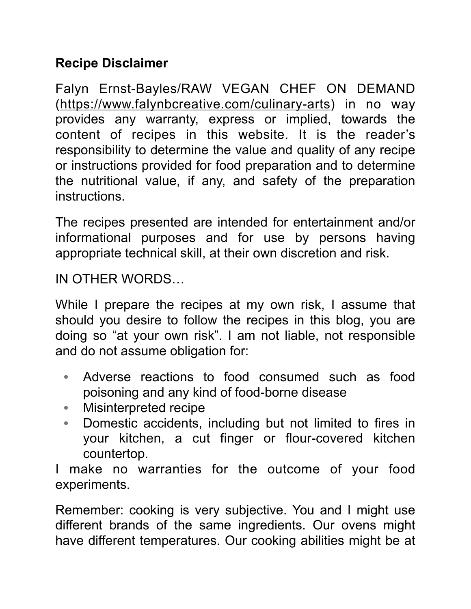## **Recipe Disclaimer**

Falyn Ernst-Bayles/RAW VEGAN CHEF ON DEMAND (<https://www.falynbcreative.com/culinary-arts>) in no way provides any warranty, express or implied, towards the content of recipes in this website. It is the reader's responsibility to determine the value and quality of any recipe or instructions provided for food preparation and to determine the nutritional value, if any, and safety of the preparation instructions.

The recipes presented are intended for entertainment and/or informational purposes and for use by persons having appropriate technical skill, at their own discretion and risk.

IN OTHER WORDS…

While I prepare the recipes at my own risk, I assume that should you desire to follow the recipes in this blog, you are doing so "at your own risk". I am not liable, not responsible and do not assume obligation for:

- Adverse reactions to food consumed such as food poisoning and any kind of food-borne disease
- Misinterpreted recipe
- Domestic accidents, including but not limited to fires in your kitchen, a cut finger or flour-covered kitchen countertop.

I make no warranties for the outcome of your food experiments.

Remember: cooking is very subjective. You and I might use different brands of the same ingredients. Our ovens might have different temperatures. Our cooking abilities might be at